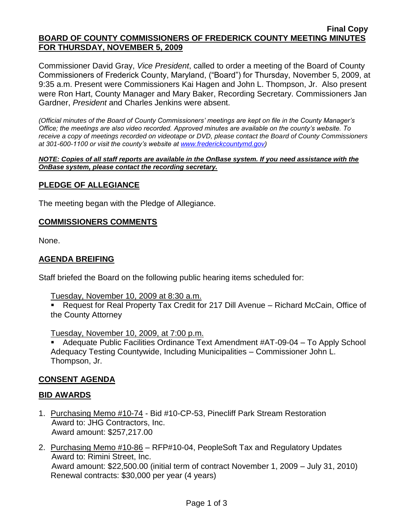#### **Final Copy BOARD OF COUNTY COMMISSIONERS OF FREDERICK COUNTY MEETING MINUTES FOR THURSDAY, NOVEMBER 5, 2009**

Commissioner David Gray, *Vice President*, called to order a meeting of the Board of County Commissioners of Frederick County, Maryland, ("Board") for Thursday, November 5, 2009, at 9:35 a.m. Present were Commissioners Kai Hagen and John L. Thompson, Jr. Also present were Ron Hart, County Manager and Mary Baker, Recording Secretary. Commissioners Jan Gardner, *President* and Charles Jenkins were absent.

*(Official minutes of the Board of County Commissioners' meetings are kept on file in the County Manager's Office; the meetings are also video recorded. Approved minutes are available on the county's website. To receive a copy of meetings recorded on videotape or DVD, please contact the Board of County Commissioners at 301-600-1100 or visit the county's website at [www.frederickcountymd.gov\)](www.frederickcountymd.gov)*

*NOTE: Copies of all staff reports are available in the OnBase system. If you need assistance with the OnBase system, please contact the recording secretary.*

### **PLEDGE OF ALLEGIANCE**

The meeting began with the Pledge of Allegiance.

### **COMMISSIONERS COMMENTS**

None.

### **AGENDA BREIFING**

Staff briefed the Board on the following public hearing items scheduled for:

Tuesday, November 10, 2009 at 8:30 a.m.

■ Request for Real Property Tax Credit for 217 Dill Avenue – Richard McCain, Office of the County Attorney

Tuesday, November 10, 2009, at 7:00 p.m.

 Adequate Public Facilities Ordinance Text Amendment #AT-09-04 – To Apply School Adequacy Testing Countywide, Including Municipalities – Commissioner John L. Thompson, Jr.

### **CONSENT AGENDA**

#### **BID AWARDS**

- 1. Purchasing Memo #10-74 Bid #10-CP-53, Pinecliff Park Stream Restoration Award to: JHG Contractors, Inc. Award amount: \$257,217.00
- 2. Purchasing Memo #10-86 RFP#10-04, PeopleSoft Tax and Regulatory Updates Award to: Rimini Street, Inc. Award amount: \$22,500.00 (initial term of contract November 1, 2009 – July 31, 2010) Renewal contracts: \$30,000 per year (4 years)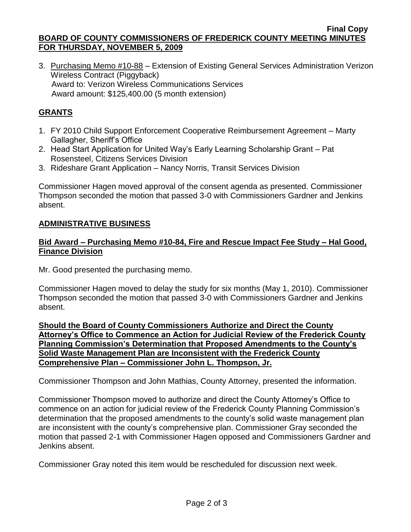**Final Copy BOARD OF COUNTY COMMISSIONERS OF FREDERICK COUNTY MEETING MINUTES FOR THURSDAY, NOVEMBER 5, 2009**

3. Purchasing Memo #10-88 – Extension of Existing General Services Administration Verizon Wireless Contract (Piggyback) Award to: Verizon Wireless Communications Services Award amount: \$125,400.00 (5 month extension)

# **GRANTS**

- 1. FY 2010 Child Support Enforcement Cooperative Reimbursement Agreement Marty Gallagher, Sheriff's Office
- 2. Head Start Application for United Way's Early Learning Scholarship Grant Pat Rosensteel, Citizens Services Division
- 3. Rideshare Grant Application Nancy Norris, Transit Services Division

Commissioner Hagen moved approval of the consent agenda as presented. Commissioner Thompson seconded the motion that passed 3-0 with Commissioners Gardner and Jenkins absent.

## **ADMINISTRATIVE BUSINESS**

### **Bid Award – Purchasing Memo #10-84, Fire and Rescue Impact Fee Study – Hal Good, Finance Division**

Mr. Good presented the purchasing memo.

Commissioner Hagen moved to delay the study for six months (May 1, 2010). Commissioner Thompson seconded the motion that passed 3-0 with Commissioners Gardner and Jenkins absent.

**Should the Board of County Commissioners Authorize and Direct the County Attorney's Office to Commence an Action for Judicial Review of the Frederick County Planning Commission's Determination that Proposed Amendments to the County's Solid Waste Management Plan are Inconsistent with the Frederick County Comprehensive Plan – Commissioner John L. Thompson, Jr.**

Commissioner Thompson and John Mathias, County Attorney, presented the information.

Commissioner Thompson moved to authorize and direct the County Attorney's Office to commence on an action for judicial review of the Frederick County Planning Commission's determination that the proposed amendments to the county's solid waste management plan are inconsistent with the county's comprehensive plan. Commissioner Gray seconded the motion that passed 2-1 with Commissioner Hagen opposed and Commissioners Gardner and Jenkins absent.

Commissioner Gray noted this item would be rescheduled for discussion next week.